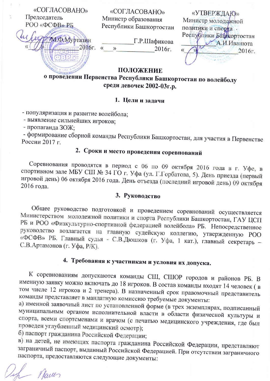«СОГЛАСОВАНО» Председатель РОО «ФСФВ» РБ

М.Ф.Муртазин

«СОГЛАСОВАНО» Министр образования Республики Башкортостан

Г.Р.Шафикова  $2016r.$   $\leftarrow$  » 2016г.

«УТВЕРЖДАЮ» Министр молодежной политики и спорта. Республики Башкортостан А.И.Иванюта 2016г.

### ПОЛОЖЕНИЕ

о проведении Первенства Республики Башкортостан по волейболу среди девочек 2002-03г.р.

#### 1. Цели и задачи

- популяризация и развитие волейбола;

- выявление сильнейших игроков;

- пропаганда ЗОЖ;

- формирование сборной команды Республики Башкортостан, для участия в Первенстве России 2017 г.

# 2. Сроки и место проведения соревнований

Соревнования проводятся в период с 06 по 09 октября 2016 года в г. Уфе, в спортивном зале МБУ СШ № 34 ГО г. Уфа (ул. Г.Горбатова, 5). День приезда (первый игровой день) 06 октября 2016 года. День отъезда (последний игровой день) 09 октября 2016 года.

#### 3. Руководство

Общее руководство подготовкой и проведением соревнований осуществляется Министерством молодежной политики и спорта Республики Башкортостан, ГАУ ЦСП РБ и РОО «Физкультурно-спортивной федерацией волейбола» РБ. Непосредственное руководство возлагается на главную судейскую коллегию, утвержденную РОО «ФСФВ» РБ. Главный судья - С.В.Дюшков (г. Уфа, 1 кат.), главный секретарь -С.В.Артамонов (г. Уфа, Р/К).

# 4. Требования к участникам и условия их допуска.

К соревнованиям допускаются команды СШ, СШОР городов и районов РБ. В именную заявку можно включать до 18 игроков. В состав команды входят 14 человек (в том числе 12 игроков и 2 тренера). В назначенный срок правомочный представитель команды представляет в мандатную комиссию требуемые документы:

а) именной заявочный лист по установленной форме (в трех экземплярах, подписанный муниципальным органом исполнительной власти в области физической культуры и спорта, всеми спортсменами и врачом (с печатью медицинского учреждения, где был проведен углубленный медицинский осмотр);

б) паспорт гражданина Российской Федерации;

в) на детей, не имеющих паспорта гражданина Российской Федерации, представляют заграничный паспорт, выданный Российской Федерацией. При отсутствии заграничного паспорта, предоставляются следующие документы:

- Naves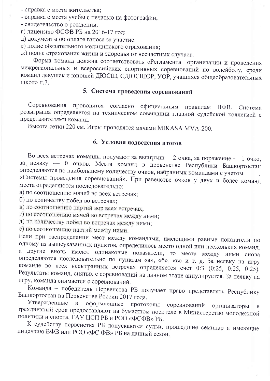- справка с места жительства;

- справка с места учебы с печатью на фотографии:
- свидетельство о рождении.
- г) лицензию ФСФВ РБ на 2016-17 год;

д) документы об оплате взноса за участие.

е) полис обязательного медицинского страхования;

ж) полис страхования жизни и здоровья от несчастных случаев.

Форма команд должна соответствовать «Регламента организации и проведения межрегиональных и всероссийских спортивных соревнований по волейболу, среди команд девушек и юношей ДЮСШ, СДЮСШОР, УОР, учащихся общеобразовательных школ» п.7.

### 5. Система проведения соревнований

Соревнования проводятся согласно официальным правилам ВФВ. Система розыгрыша определяется на техническом совещании главной судейской коллегией с представителями команд.

Высота сетки 220 см. Игры проводятся мячами MIKASA MVA-200.

### 6. Условия подведения итогов

Во всех встречах команды получают за выигрыш- 2 очка, за поражение - 1 очко, за неявку - 0 очков. Места команд в первенстве Республики Башкортостан определяются по наибольшему количеству очков, набранных командами с учетом «Системы проведения соревнований». При равенстве очков у двух и более команд места определяются последовательно:

а) по соотношению мячей во всех встречах;

б) по количеству побед во встречах;

в) по соотношению партий вор всех встречах;

г) по соотношению мячей во встречах между ними;

д) по количеству побед во встречах между ними;

е) по соотношению партий между ними.

Если при распределении мест между командами, имеющими равные показатели по одному из вышеуказанных пунктов, определилось место одной или нескольких команд, а другие вновь имеют одинаковые показатели, то места между ними снова определяются последовательно по пунктам «а», «б», «в» и т. д. За неявку на игру команде во всех несыгранных встречах определяется счет 0:3 (0:25, 0:25, 0:25). Результаты команд, снятых с соревнований на данном этапе аннулируется. За неявку на игру, команда снимается с соревнований.

Команда - победитель Первенства РБ получает право представлять Республику Башкортостан на Первенстве России 2017 года.

Утвержденные оформленные протоколы  $\mathbf{N}$ соревнований организаторы  $\overline{B}$ трехдневный срок предоставляют на бумажном носителе в Министерство молодежной политики и спорта, ГАУ ЦСП РБ и РОО «ФСФВ» РБ.

К судейству первенства РБ допускаются судьи, прошедшие семинар и имеющие лицензию ВФВ или РОО «ФС ФВ» РБ на данный сезон.